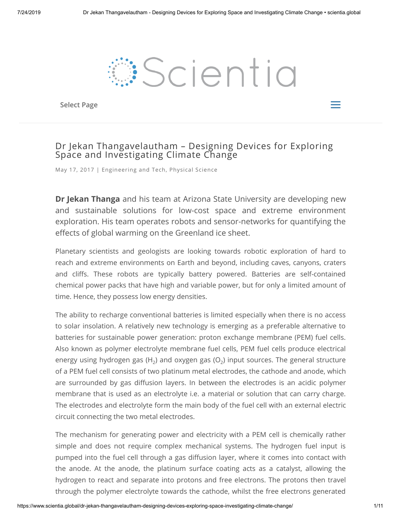

Select Page  $\equiv$ 

# Dr Jekan Thangavelautham – Designing Devices for Exploring Space and Investigating Climate Change

May 17, 2017 | [Engineering](https://www.scientia.global/category/engineering-and-tech/) and Tech, [Physical](https://www.scientia.global/category/physical-science/) Science

**Dr Jekan Thanga** and his team at Arizona State University are developing new and sustainable solutions for low-cost space and extreme environment exploration. His team operates robots and sensor-networks for quantifying the effects of global warming on the Greenland ice sheet.

Planetary scientists and geologists are looking towards robotic exploration of hard to reach and extreme environments on Earth and beyond, including caves, canyons, craters and cliffs. These robots are typically battery powered. Batteries are self-contained chemical power packs that have high and variable power, but for only a limited amount of time. Hence, they possess low energy densities.

The ability to recharge conventional batteries is limited especially when there is no access to solar insolation. A relatively new technology is emerging as a preferable alternative to batteries for sustainable power generation: proton exchange membrane (PEM) fuel cells. Also known as polymer electrolyte membrane fuel cells, PEM fuel cells produce electrical energy using hydrogen gas (H<sub>2</sub>) and oxygen gas (O<sub>2</sub>) input sources. The general structure of a PEM fuel cell consists of two platinum metal electrodes, the cathode and anode, which are surrounded by gas diffusion layers. In between the electrodes is an acidic polymer membrane that is used as an electrolyte i.e. a material or solution that can carry charge. The electrodes and electrolyte form the main body of the fuel cell with an external electric circuit connecting the two metal electrodes.

The mechanism for generating power and electricity with a PEM cell is chemically rather simple and does not require complex mechanical systems. The hydrogen fuel input is pumped into the fuel cell through a gas diffusion layer, where it comes into contact with the anode. At the anode, the platinum surface coating acts as a catalyst, allowing the hydrogen to react and separate into protons and free electrons. The protons then travel through the polymer electrolyte towards the cathode, whilst the free electrons generated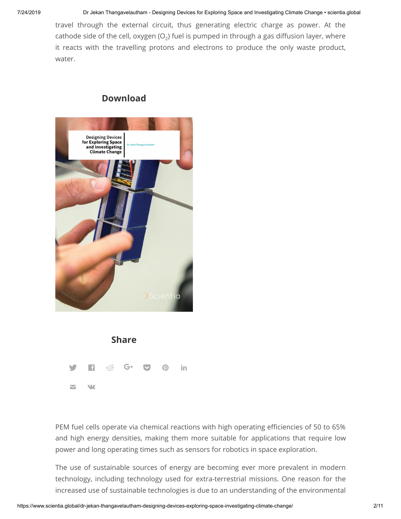travel through the external circuit, thus generating electric charge as power. At the cathode side of the cell, oxygen (O $_2$ ) fuel is pumped in through a gas diffusion layer, where it reacts with the travelling protons and electrons to produce the only waste product, water.

# **Download**





PEM fuel cells operate via chemical reactions with high operating efficiencies of 50 to 65% and high energy densities, making them more suitable for applications that require low power and long operating times such as sensors for robotics in space exploration.

The use of sustainable sources of energy are becoming ever more prevalent in modern technology, including technology used for extra-terrestrial missions. One reason for the increased use of sustainable technologies is due to an understanding of the environmental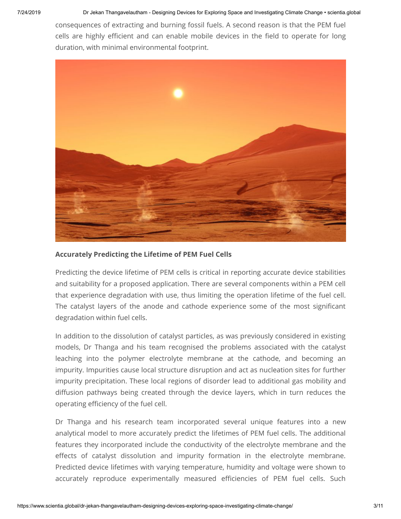consequences of extracting and burning fossil fuels. A second reason is that the PEM fuel cells are highly efficient and can enable mobile devices in the field to operate for long duration, with minimal environmental footprint.



#### **Accurately Predicting the Lifetime of PEM Fuel Cells**

Predicting the device lifetime of PEM cells is critical in reporting accurate device stabilities and suitability for a proposed application. There are several components within a PEM cell that experience degradation with use, thus limiting the operation lifetime of the fuel cell. The catalyst layers of the anode and cathode experience some of the most significant degradation within fuel cells.

In addition to the dissolution of catalyst particles, as was previously considered in existing models, Dr Thanga and his team recognised the problems associated with the catalyst leaching into the polymer electrolyte membrane at the cathode, and becoming an impurity. Impurities cause local structure disruption and act as nucleation sites for further impurity precipitation. These local regions of disorder lead to additional gas mobility and diffusion pathways being created through the device layers, which in turn reduces the operating efficiency of the fuel cell.

Dr Thanga and his research team incorporated several unique features into a new analytical model to more accurately predict the lifetimes of PEM fuel cells. The additional features they incorporated include the conductivity of the electrolyte membrane and the effects of catalyst dissolution and impurity formation in the electrolyte membrane. Predicted device lifetimes with varying temperature, humidity and voltage were shown to accurately reproduce experimentally measured efficiencies of PEM fuel cells. Such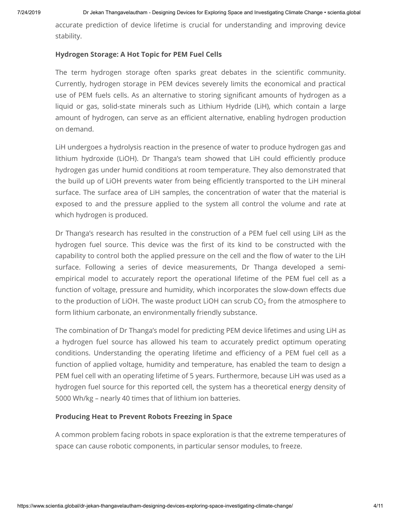accurate prediction of device lifetime is crucial for understanding and improving device stability.

#### **Hydrogen Storage: A Hot Topic for PEM Fuel Cells**

The term hydrogen storage often sparks great debates in the scientific community. Currently, hydrogen storage in PEM devices severely limits the economical and practical use of PEM fuels cells. As an alternative to storing significant amounts of hydrogen as a liquid or gas, solid-state minerals such as Lithium Hydride (LiH), which contain a large amount of hydrogen, can serve as an efficient alternative, enabling hydrogen production on demand.

LiH undergoes a hydrolysis reaction in the presence of water to produce hydrogen gas and lithium hydroxide (LiOH). Dr Thanga's team showed that LiH could efficiently produce hydrogen gas under humid conditions at room temperature. They also demonstrated that the build up of LiOH prevents water from being efficiently transported to the LiH mineral surface. The surface area of LiH samples, the concentration of water that the material is exposed to and the pressure applied to the system all control the volume and rate at which hydrogen is produced.

Dr Thanga's research has resulted in the construction of a PEM fuel cell using LiH as the hydrogen fuel source. This device was the first of its kind to be constructed with the capability to control both the applied pressure on the cell and the flow of water to the LiH surface. Following a series of device measurements, Dr Thanga developed a semiempirical model to accurately report the operational lifetime of the PEM fuel cell as a function of voltage, pressure and humidity, which incorporates the slow-down effects due to the production of LiOH. The waste product LiOH can scrub CO $_2$  from the atmosphere to form lithium carbonate, an environmentally friendly substance.

The combination of Dr Thanga's model for predicting PEM device lifetimes and using LiH as a hydrogen fuel source has allowed his team to accurately predict optimum operating conditions. Understanding the operating lifetime and efficiency of a PEM fuel cell as a function of applied voltage, humidity and temperature, has enabled the team to design a PEM fuel cell with an operating lifetime of 5 years. Furthermore, because LiH was used as a hydrogen fuel source for this reported cell, the system has a theoretical energy density of 5000 Wh/kg – nearly 40 times that of lithium ion batteries.

#### **Producing Heat to Prevent Robots Freezing in Space**

A common problem facing robots in space exploration is that the extreme temperatures of space can cause robotic components, in particular sensor modules, to freeze.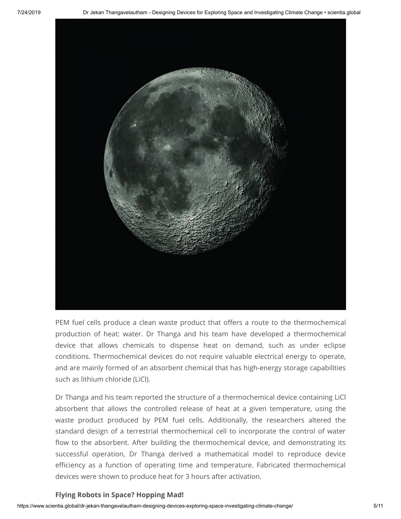

PEM fuel cells produce a clean waste product that offers a route to the thermochemical production of heat: water. Dr Thanga and his team have developed a thermochemical device that allows chemicals to dispense heat on demand, such as under eclipse conditions. Thermochemical devices do not require valuable electrical energy to operate, and are mainly formed of an absorbent chemical that has high-energy storage capabilities such as lithium chloride (LiCl).

Dr Thanga and his team reported the structure of a thermochemical device containing LiCl absorbent that allows the controlled release of heat at a given temperature, using the waste product produced by PEM fuel cells. Additionally, the researchers altered the standard design of a terrestrial thermochemical cell to incorporate the control of water flow to the absorbent. After building the thermochemical device, and demonstrating its successful operation, Dr Thanga derived a mathematical model to reproduce device efficiency as a function of operating time and temperature. Fabricated thermochemical devices were shown to produce heat for 3 hours after activation.

#### **Flying Robots in Space? Hopping Mad!**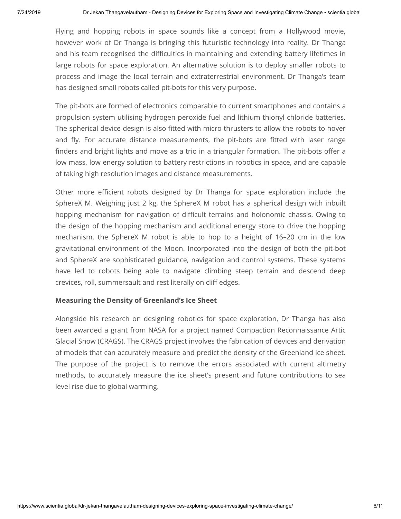Flying and hopping robots in space sounds like a concept from a Hollywood movie, however work of Dr Thanga is bringing this futuristic technology into reality. Dr Thanga and his team recognised the difficulties in maintaining and extending battery lifetimes in large robots for space exploration. An alternative solution is to deploy smaller robots to process and image the local terrain and extraterrestrial environment. Dr Thanga's team has designed small robots called pit-bots for this very purpose.

The pit-bots are formed of electronics comparable to current smartphones and contains a propulsion system utilising hydrogen peroxide fuel and lithium thionyl chloride batteries. The spherical device design is also fitted with micro-thrusters to allow the robots to hover and fly. For accurate distance measurements, the pit-bots are fitted with laser range finders and bright lights and move as a trio in a triangular formation. The pit-bots offer a low mass, low energy solution to battery restrictions in robotics in space, and are capable of taking high resolution images and distance measurements.

Other more efficient robots designed by Dr Thanga for space exploration include the SphereX M. Weighing just 2 kg, the SphereX M robot has a spherical design with inbuilt hopping mechanism for navigation of difficult terrains and holonomic chassis. Owing to the design of the hopping mechanism and additional energy store to drive the hopping mechanism, the SphereX M robot is able to hop to a height of 16–20 cm in the low gravitational environment of the Moon. Incorporated into the design of both the pit-bot and SphereX are sophisticated guidance, navigation and control systems. These systems have led to robots being able to navigate climbing steep terrain and descend deep crevices, roll, summersault and rest literally on cliff edges.

#### **Measuring the Density of Greenland's Ice Sheet**

Alongside his research on designing robotics for space exploration, Dr Thanga has also been awarded a grant from NASA for a project named Compaction Reconnaissance Artic Glacial Snow (CRAGS). The CRAGS project involves the fabrication of devices and derivation of models that can accurately measure and predict the density of the Greenland ice sheet. The purpose of the project is to remove the errors associated with current altimetry methods, to accurately measure the ice sheet's present and future contributions to sea level rise due to global warming.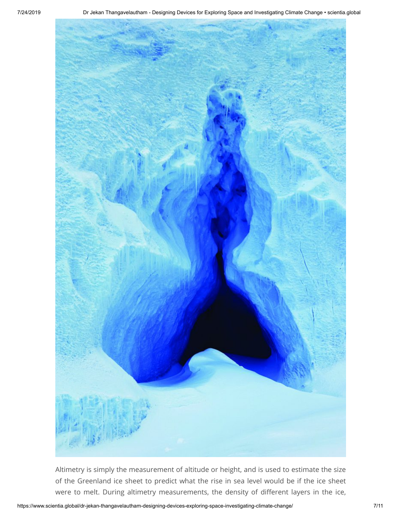

Altimetry is simply the measurement of altitude or height, and is used to estimate the size of the Greenland ice sheet to predict what the rise in sea level would be if the ice sheet were to melt. During altimetry measurements, the density of different layers in the ice,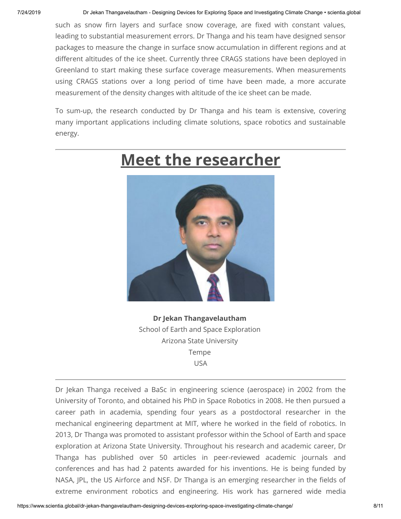such as snow firn layers and surface snow coverage, are fixed with constant values, leading to substantial measurement errors. Dr Thanga and his team have designed sensor packages to measure the change in surface snow accumulation in different regions and at different altitudes of the ice sheet. Currently three CRAGS stations have been deployed in Greenland to start making these surface coverage measurements. When measurements using CRAGS stations over a long period of time have been made, a more accurate measurement of the density changes with altitude of the ice sheet can be made.

To sum-up, the research conducted by Dr Thanga and his team is extensive, covering many important applications including climate solutions, space robotics and sustainable energy.

# **Meet the researcher**

**Dr Jekan Thangavelautham** School of Earth and Space Exploration Arizona State University Tempe USA

Dr Jekan Thanga received a BaSc in engineering science (aerospace) in 2002 from the University of Toronto, and obtained his PhD in Space Robotics in 2008. He then pursued a career path in academia, spending four years as a postdoctoral researcher in the mechanical engineering department at MIT, where he worked in the field of robotics. In 2013, Dr Thanga was promoted to assistant professor within the School of Earth and space exploration at Arizona State University. Throughout his research and academic career, Dr Thanga has published over 50 articles in peer-reviewed academic journals and conferences and has had 2 patents awarded for his inventions. He is being funded by NASA, JPL, the US Airforce and NSF. Dr Thanga is an emerging researcher in the fields of extreme environment robotics and engineering. His work has garnered wide media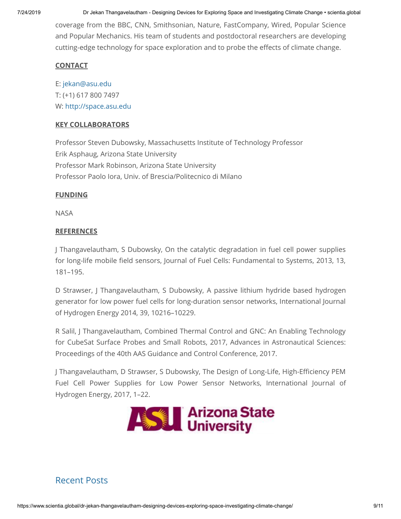7/24/2019 Dr Jekan Thangavelautham - Designing Devices for Exploring Space and Investigating Climate Change • scientia.global

coverage from the BBC, CNN, Smithsonian, Nature, FastCompany, Wired, Popular Science and Popular Mechanics. His team of students and postdoctoral researchers are developing cutting-edge technology for space exploration and to probe the effects of climate change.

#### **CONTACT**

E: [jekan@asu.edu](mailto:jekan@asu.edu)  T: (+1) 617 800 7497 W: [http://space.asu.edu](http://space.asu.edu/)

#### **KEY COLLABORATORS**

Professor Steven Dubowsky, Massachusetts Institute of Technology Professor Erik Asphaug, Arizona State University Professor Mark Robinson, Arizona State University Professor Paolo Iora, Univ. of Brescia/Politecnico di Milano

#### **FUNDING**

NASA

### **REFERENCES**

J Thangavelautham, S Dubowsky, On the catalytic degradation in fuel cell power supplies for long-life mobile field sensors, Journal of Fuel Cells: Fundamental to Systems, 2013, 13, 181–195.

D Strawser, J Thangavelautham, S Dubowsky, A passive lithium hydride based hydrogen generator for low power fuel cells for long-duration sensor networks, International Journal of Hydrogen Energy 2014, 39, 10216–10229.

R Salil, J Thangavelautham, Combined Thermal Control and GNC: An Enabling Technology for CubeSat Surface Probes and Small Robots, 2017, Advances in Astronautical Sciences: Proceedings of the 40th AAS Guidance and Control Conference, 2017.

J Thangavelautham, D Strawser, S Dubowsky, The Design of Long-Life, High-Efficiency PEM Fuel Cell Power Supplies for Low Power Sensor Networks, International Journal of Hydrogen Energy, 2017, 1–22.



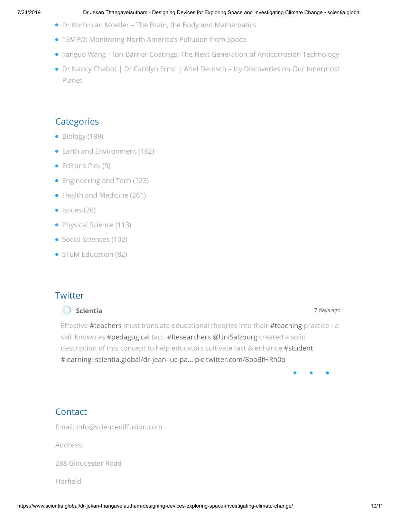- [Dr Korbinian Moeller The Brain, the Body and Mathematics](https://www.scientia.global/dr-korbinian-moeller-the-brain-the-body-and-mathematics/)
- [TEMPO: Monitoring North America's Pollution from Space](https://www.scientia.global/tempo-monitoring-north-americas-pollution-from-space/)
- [Jianguo Wang Ion-Barrier Coatings: The Next Generation of Anticorrosion Technology](https://www.scientia.global/jianguo-wang-ion-barrier-coatings-the-next-generation-of-anticorrosion-technology/)
- [Dr Nancy Chabot | Dr Carolyn Ernst | Ariel Deutsch Icy Discoveries on Our Innermost](https://www.scientia.global/dr-nancy-chabot-dr-carolyn-ernst-ariel-deutsch-icy-discoveries-on-our-innermost-planet/) Planet

# **Categories**

- [Biology](https://www.scientia.global/category/biology/) (189)
- [Earth and Environment](https://www.scientia.global/category/earth-and-environment/) (182)
- [Editor's Pick](https://www.scientia.global/category/editors-pick/) (9)
- [Engineering and Tech](https://www.scientia.global/category/engineering-and-tech/) (123)
- [Health and Medicine](https://www.scientia.global/category/health-and-medicine/) (261)
- $\bullet$  [Issues](https://www.scientia.global/category/issue/) (26)
- [Physical Science](https://www.scientia.global/category/physical-science/) (113)
- [Social Sciences](https://www.scientia.global/category/social-sciences/) (102)
- [STEM Education](https://www.scientia.global/category/stem/) (82)

# **Twitter**

#### **[Scientia](https://twitter.com/scientia_social)** 7 [days](https://twitter.com/scientia_social/status/1151857416365105153) ago

Effective [#teachers](https://twitter.com/search?q=%23teachers&src=hash) must translate educational theories into their [#teaching](https://twitter.com/search?q=%23teaching&src=hash) practice - a skill known as [#pedagogical](https://twitter.com/search?q=%23pedagogical&src=hash) tact. [#Researchers](https://twitter.com/search?q=%23Researchers&src=hash) [@UniSalzburg](https://twitter.com/UniSalzburg) created a solid description of this concept to help educators cultivate tact & enhance [#student](https://twitter.com/search?q=%23student&src=hash) [#learning:](https://twitter.com/search?q=%23learning&src=hash) [scientia.global/dr-jean-luc-pa…](https://www.scientia.global/dr-jean-luc-patry-dr-angela-gastager-barbara-fageth-improving-education-through-cultivating-pedagogical-tact/) [pic.twitter.com/8paBfHRh0o](https://twitter.com/scientia_social/status/1151857416365105153/photo/1)

# **Contact**

Email: info@sciencediffusion.com

Address:

288 Gloucester Road

Horfield